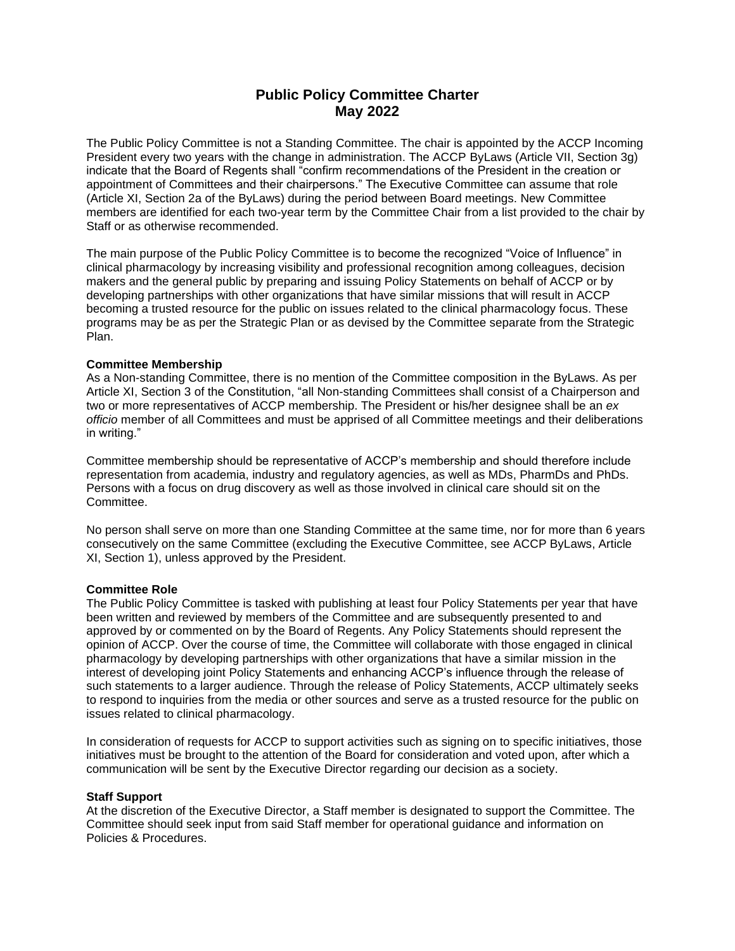# **Public Policy Committee Charter May 2022**

The Public Policy Committee is not a Standing Committee. The chair is appointed by the ACCP Incoming President every two years with the change in administration. The ACCP ByLaws (Article VII, Section 3g) indicate that the Board of Regents shall "confirm recommendations of the President in the creation or appointment of Committees and their chairpersons." The Executive Committee can assume that role (Article XI, Section 2a of the ByLaws) during the period between Board meetings. New Committee members are identified for each two-year term by the Committee Chair from a list provided to the chair by Staff or as otherwise recommended.

The main purpose of the Public Policy Committee is to become the recognized "Voice of Influence" in clinical pharmacology by increasing visibility and professional recognition among colleagues, decision makers and the general public by preparing and issuing Policy Statements on behalf of ACCP or by developing partnerships with other organizations that have similar missions that will result in ACCP becoming a trusted resource for the public on issues related to the clinical pharmacology focus. These programs may be as per the Strategic Plan or as devised by the Committee separate from the Strategic Plan.

## **Committee Membership**

As a Non-standing Committee, there is no mention of the Committee composition in the ByLaws. As per Article XI, Section 3 of the Constitution, "all Non-standing Committees shall consist of a Chairperson and two or more representatives of ACCP membership. The President or his/her designee shall be an *ex officio* member of all Committees and must be apprised of all Committee meetings and their deliberations in writing."

Committee membership should be representative of ACCP's membership and should therefore include representation from academia, industry and regulatory agencies, as well as MDs, PharmDs and PhDs. Persons with a focus on drug discovery as well as those involved in clinical care should sit on the **Committee.** 

No person shall serve on more than one Standing Committee at the same time, nor for more than 6 years consecutively on the same Committee (excluding the Executive Committee, see ACCP ByLaws, Article XI, Section 1), unless approved by the President.

## **Committee Role**

The Public Policy Committee is tasked with publishing at least four Policy Statements per year that have been written and reviewed by members of the Committee and are subsequently presented to and approved by or commented on by the Board of Regents. Any Policy Statements should represent the opinion of ACCP. Over the course of time, the Committee will collaborate with those engaged in clinical pharmacology by developing partnerships with other organizations that have a similar mission in the interest of developing joint Policy Statements and enhancing ACCP's influence through the release of such statements to a larger audience. Through the release of Policy Statements, ACCP ultimately seeks to respond to inquiries from the media or other sources and serve as a trusted resource for the public on issues related to clinical pharmacology.

In consideration of requests for ACCP to support activities such as signing on to specific initiatives, those initiatives must be brought to the attention of the Board for consideration and voted upon, after which a communication will be sent by the Executive Director regarding our decision as a society.

### **Staff Support**

At the discretion of the Executive Director, a Staff member is designated to support the Committee. The Committee should seek input from said Staff member for operational guidance and information on Policies & Procedures.